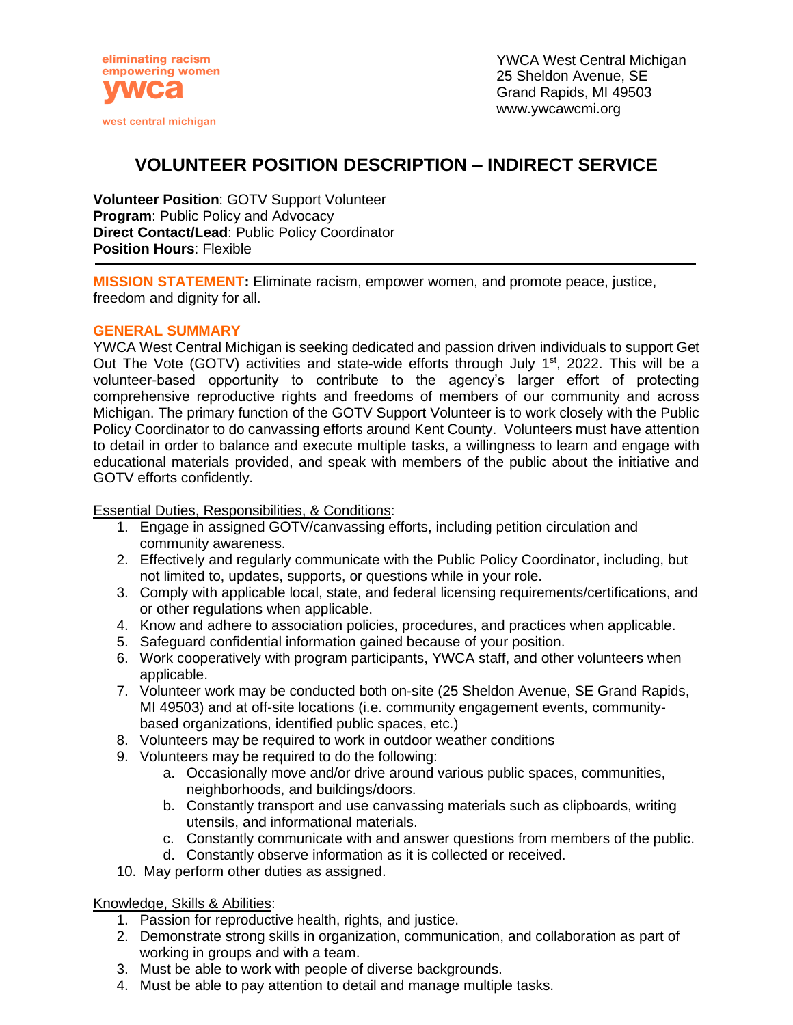

YWCA West Central Michigan 25 Sheldon Avenue, SE Grand Rapids, MI 49503 www.ywcawcmi.org

# **VOLUNTEER POSITION DESCRIPTION – INDIRECT SERVICE**

**Volunteer Position**: GOTV Support Volunteer **Program**: Public Policy and Advocacy **Direct Contact/Lead**: Public Policy Coordinator **Position Hours**: Flexible

**MISSION STATEMENT:** Eliminate racism, empower women, and promote peace, justice, freedom and dignity for all.

## **GENERAL SUMMARY**

YWCA West Central Michigan is seeking dedicated and passion driven individuals to support Get Out The Vote (GOTV) activities and state-wide efforts through July 1<sup>st</sup>, 2022. This will be a volunteer-based opportunity to contribute to the agency's larger effort of protecting comprehensive reproductive rights and freedoms of members of our community and across Michigan. The primary function of the GOTV Support Volunteer is to work closely with the Public Policy Coordinator to do canvassing efforts around Kent County. Volunteers must have attention to detail in order to balance and execute multiple tasks, a willingness to learn and engage with educational materials provided, and speak with members of the public about the initiative and GOTV efforts confidently.

Essential Duties, Responsibilities, & Conditions:

- 1. Engage in assigned GOTV/canvassing efforts, including petition circulation and community awareness.
- 2. Effectively and regularly communicate with the Public Policy Coordinator, including, but not limited to, updates, supports, or questions while in your role.
- 3. Comply with applicable local, state, and federal licensing requirements/certifications, and or other regulations when applicable.
- 4. Know and adhere to association policies, procedures, and practices when applicable.
- 5. Safeguard confidential information gained because of your position.
- 6. Work cooperatively with program participants, YWCA staff, and other volunteers when applicable.
- 7. Volunteer work may be conducted both on-site (25 Sheldon Avenue, SE Grand Rapids, MI 49503) and at off-site locations (i.e. community engagement events, communitybased organizations, identified public spaces, etc.)
- 8. Volunteers may be required to work in outdoor weather conditions
- 9. Volunteers may be required to do the following:
	- a. Occasionally move and/or drive around various public spaces, communities, neighborhoods, and buildings/doors.
	- b. Constantly transport and use canvassing materials such as clipboards, writing utensils, and informational materials.
	- c. Constantly communicate with and answer questions from members of the public.
	- d. Constantly observe information as it is collected or received.
- 10. May perform other duties as assigned.

## Knowledge, Skills & Abilities:

- 1. Passion for reproductive health, rights, and justice.
- 2. Demonstrate strong skills in organization, communication, and collaboration as part of working in groups and with a team.
- 3. Must be able to work with people of diverse backgrounds.
- 4. Must be able to pay attention to detail and manage multiple tasks.